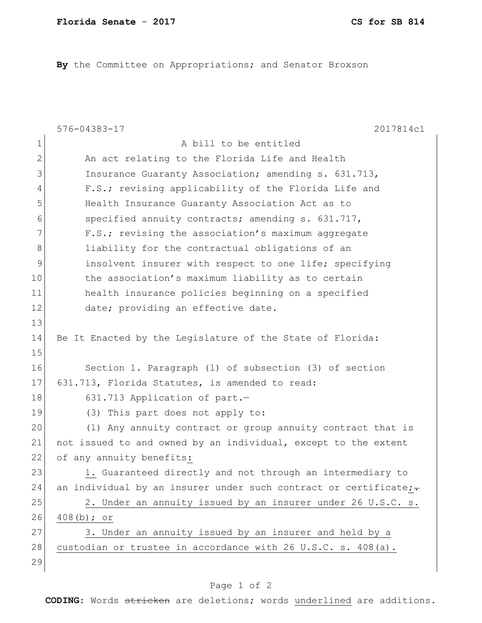**By** the Committee on Appropriations; and Senator Broxson

|               | $576 - 04383 - 17$<br>2017814c1                                  |
|---------------|------------------------------------------------------------------|
| 1             | A bill to be entitled                                            |
| 2             | An act relating to the Florida Life and Health                   |
| 3             | Insurance Guaranty Association; amending s. 631.713,             |
| 4             | F.S.; revising applicability of the Florida Life and             |
| 5             | Health Insurance Guaranty Association Act as to                  |
| 6             | specified annuity contracts; amending s. 631.717,                |
| 7             | F.S.; revising the association's maximum aggregate               |
| 8             | liability for the contractual obligations of an                  |
| $\mathcal{G}$ | insolvent insurer with respect to one life; specifying           |
| 10            | the association's maximum liability as to certain                |
| 11            | health insurance policies beginning on a specified               |
| 12            | date; providing an effective date.                               |
| 13            |                                                                  |
| 14            | Be It Enacted by the Legislature of the State of Florida:        |
| 15            |                                                                  |
| 16            | Section 1. Paragraph (1) of subsection (3) of section            |
| 17            | 631.713, Florida Statutes, is amended to read:                   |
| 18            | 631.713 Application of part.-                                    |
| 19            | (3) This part does not apply to:                                 |
| 20            | (1) Any annuity contract or group annuity contract that is       |
| 21            | not issued to and owned by an individual, except to the extent   |
| 22            | of any annuity benefits:                                         |
| 23            | 1. Guaranteed directly and not through an intermediary to        |
| 24            | an individual by an insurer under such contract or certificate;- |
| 25            | 2. Under an annuity issued by an insurer under 26 U.S.C. s.      |
| 26            | $408(b);$ or                                                     |
| 27            | 3. Under an annuity issued by an insurer and held by a           |
| 28            | custodian or trustee in accordance with 26 U.S.C. s. 408(a).     |
| 29            |                                                                  |

## Page 1 of 2

**CODING**: Words stricken are deletions; words underlined are additions.